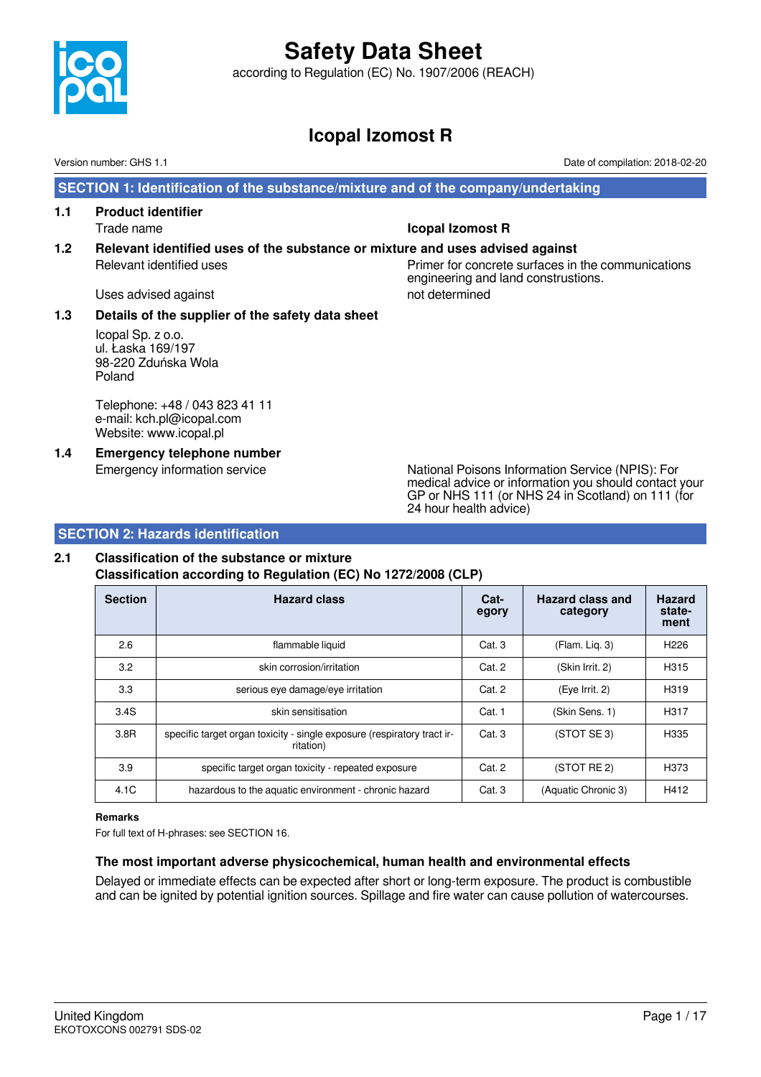

according to Regulation (EC) No. 1907/2006 (REACH)

### **Icopal Izomost R**

Version number: GHS 1.1 Date of compilation: 2018-02-20

 **SECTION 1: Identification of the substance/mixture and of the company/undertaking**

**1.1 Product identifier**

Trade name **Icopal Izomost R**

**1.2 Relevant identified uses of the substance or mixture and uses advised against** Relevant identified uses example and the Primer for concrete surfaces in the communications engineering and land construstions.

Uses advised against not determined

### **1.3 Details of the supplier of the safety data sheet**

Icopal Sp. z o.o. ul. Łaska 169/197 98-220 Zduńska Wola Poland

Telephone: +48 / 043 823 41 11 e-mail: kch.pl@icopal.com Website: www.icopal.pl

**1.4 Emergency telephone number**

Emergency information service National Poisons Information Service (NPIS): For medical advice or information you should contact your GP or NHS 111 (or NHS 24 in Scotland) on 111 (for 24 hour health advice)

### **SECTION 2: Hazards identification**

### **2.1 Classification of the substance or mixture**

**Classification according to Regulation (EC) No 1272/2008 (CLP)**

| <b>Section</b> | <b>Hazard class</b>                                                                  | Cat-<br>egory | <b>Hazard class and</b><br>category | <b>Hazard</b><br>state-<br>ment |
|----------------|--------------------------------------------------------------------------------------|---------------|-------------------------------------|---------------------------------|
| 2.6            | flammable liquid                                                                     | Cat. 3        | (Flam. Liq. 3)                      | H <sub>226</sub>                |
| 3.2            | skin corrosion/irritation                                                            | Cat. 2        | (Skin Irrit. 2)                     | H315                            |
| 3.3            | serious eye damage/eye irritation                                                    | Cat. 2        | (Eye Irrit. 2)                      | H319                            |
| 3.4S           | skin sensitisation                                                                   | Cat. 1        | (Skin Sens. 1)                      | H317                            |
| 3.8R           | specific target organ toxicity - single exposure (respiratory tract ir-<br>ritation) | Cat.3         | (STOT SE3)                          | H335                            |
| 3.9            | specific target organ toxicity - repeated exposure                                   | Cat. 2        | (STOT RE 2)                         | H373                            |
| 4.1C           | hazardous to the aquatic environment - chronic hazard                                | Cat. 3        | (Aquatic Chronic 3)                 | H412                            |

#### **Remarks**

For full text of H-phrases: see SECTION 16.

### **The most important adverse physicochemical, human health and environmental effects**

Delayed or immediate effects can be expected after short or long-term exposure. The product is combustible and can be ignited by potential ignition sources. Spillage and fire water can cause pollution of watercourses.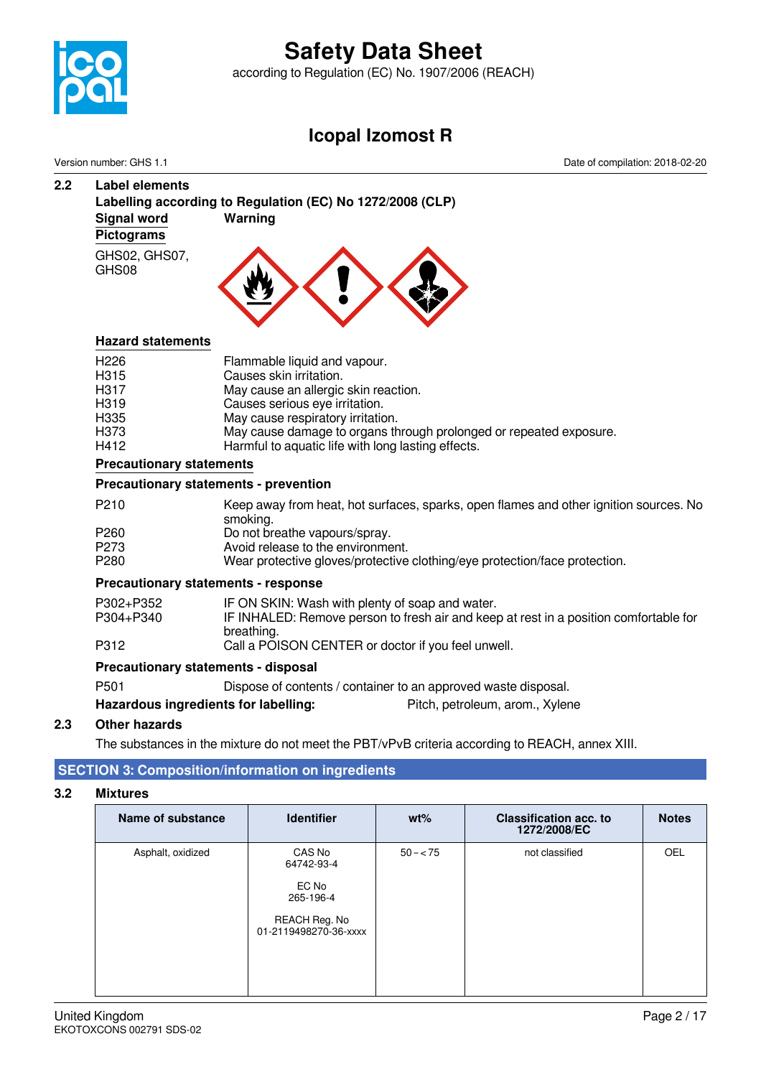

according to Regulation (EC) No. 1907/2006 (REACH)

### **Icopal Izomost R**

Version number: GHS 1.1 Date of compilation: 2018-02-20

### **2.2 Label elements Labelling according to Regulation (EC) No 1272/2008 (CLP) Signal word Warning Pictograms** GHS02, GHS07, GHS08

### **Hazard statements**

| H <sub>226</sub>  |  | Flammable liquid and vapour.                                       |
|-------------------|--|--------------------------------------------------------------------|
| H315              |  | Causes skin irritation.                                            |
| H <sub>3</sub> 17 |  | May cause an allergic skin reaction.                               |
| H <sub>3</sub> 19 |  | Causes serious eye irritation.                                     |
| H <sub>335</sub>  |  | May cause respiratory irritation.                                  |
| H373              |  | May cause damage to organs through prolonged or repeated exposure. |
| H412              |  | Harmful to aquatic life with long lasting effects.                 |
| $\sim$            |  |                                                                    |

### **Precautionary statements**

### **Precautionary statements - prevention**

| P <sub>210</sub> | Keep away from heat, hot surfaces, sparks, open flames and other ignition sources. No |
|------------------|---------------------------------------------------------------------------------------|
|                  | smoking.                                                                              |
| P <sub>260</sub> | Do not breathe vapours/spray.                                                         |
| P273             | Avoid release to the environment.                                                     |
| P <sub>280</sub> | Wear protective gloves/protective clothing/eye protection/face protection.            |
|                  |                                                                                       |

### **Precautionary statements - response**

| P302+P352 | IF ON SKIN: Wash with plenty of soap and water.                                                     |
|-----------|-----------------------------------------------------------------------------------------------------|
| P304+P340 | IF INHALED: Remove person to fresh air and keep at rest in a position comfortable for<br>breathing. |
| P312      | Call a POISON CENTER or doctor if you feel unwell.                                                  |

### **Precautionary statements - disposal**

| P <sub>501</sub>                     | Dispose of contents / container to an approved waste disposal. |
|--------------------------------------|----------------------------------------------------------------|
| Hazardous ingredients for labelling: | Pitch, petroleum, arom., Xylene                                |

### **2.3 Other hazards**

The substances in the mixture do not meet the PBT/vPvB criteria according to REACH, annex XIII.

### **SECTION 3: Composition/information on ingredients**

#### **3.2 Mixtures**

| Name of substance | <b>Identifier</b>                                                                    | $wt\%$    | <b>Classification acc. to</b><br>1272/2008/EC | <b>Notes</b> |
|-------------------|--------------------------------------------------------------------------------------|-----------|-----------------------------------------------|--------------|
| Asphalt, oxidized | CAS No<br>64742-93-4<br>EC No<br>265-196-4<br>REACH Reg. No<br>01-2119498270-36-xxxx | $50 - 75$ | not classified                                | <b>OEL</b>   |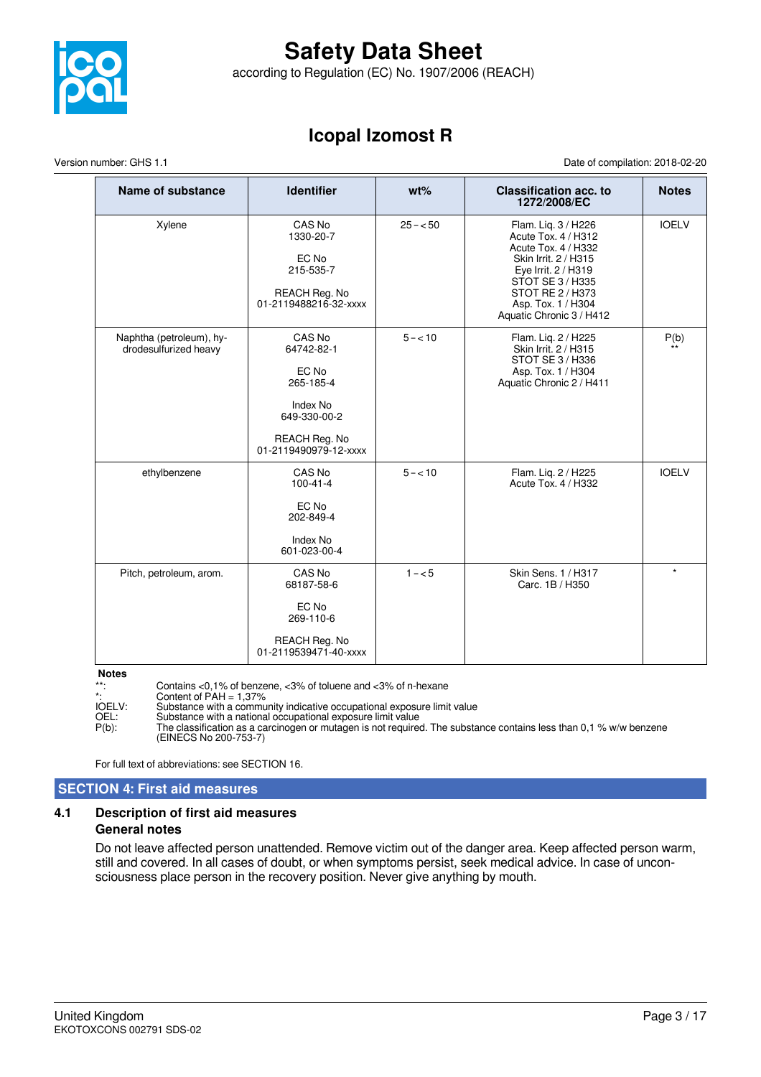

according to Regulation (EC) No. 1907/2006 (REACH)

### **Icopal Izomost R**

Version number: GHS 1.1 Date of compilation: 2018-02-20

| Name of substance                                 | <b>Identifier</b>                                                                                                | $wt\%$    | <b>Classification acc. to</b><br>1272/2008/EC                                                                                                                                                              | <b>Notes</b> |
|---------------------------------------------------|------------------------------------------------------------------------------------------------------------------|-----------|------------------------------------------------------------------------------------------------------------------------------------------------------------------------------------------------------------|--------------|
| Xylene                                            | CAS No<br>1330-20-7<br>EC No<br>215-535-7<br>REACH Reg. No<br>01-2119488216-32-xxxx                              | $25 - 50$ | Flam. Lig. 3 / H226<br>Acute Tox. 4 / H312<br>Acute Tox. 4 / H332<br>Skin Irrit, 2 / H315<br>Eye Irrit. 2 / H319<br>STOT SE 3 / H335<br>STOT RE 2 / H373<br>Asp. Tox. 1 / H304<br>Aquatic Chronic 3 / H412 | <b>IOELV</b> |
| Naphtha (petroleum), hy-<br>drodesulfurized heavy | CAS No<br>64742-82-1<br>EC No<br>265-185-4<br>Index No<br>649-330-00-2<br>REACH Reg. No<br>01-2119490979-12-xxxx | $5 - 10$  | Flam. Liq. 2 / H225<br>Skin Irrit. 2 / H315<br>STOT SE 3 / H336<br>Asp. Tox. 1 / H304<br>Aquatic Chronic 2 / H411                                                                                          | P(b)         |
| ethylbenzene                                      | CAS No<br>$100 - 41 - 4$<br>EC No<br>202-849-4<br>Index No<br>601-023-00-4                                       | $5 - 10$  | Flam. Liq. 2 / H225<br>Acute Tox. 4 / H332                                                                                                                                                                 | <b>IOELV</b> |
| Pitch, petroleum, arom.                           | CAS No<br>68187-58-6<br>EC No<br>269-110-6<br>REACH Reg. No<br>01-2119539471-40-xxxx                             | $1 - 5$   | Skin Sens. 1 / H317<br>Carc. 1B / H350                                                                                                                                                                     | $\star$      |

**Notes**

\*\*: Contains <0,1% of benzene, <3% of toluene and <3% of n-hexane

\*:<br>Content of PAH = 1,37%<br>IOELV: Substance with a commu IOELV: Substance with a community indicative occupational exposure limit value

OEL: Substance with a national occupational exposure limit value

P(b): The classification as a carcinogen or mutagen is not required. The substance contains less than 0,1 % w/w benzene (EINECS No 200-753-7)

For full text of abbreviations: see SECTION 16.

### **SECTION 4: First aid measures**

### **4.1 Description of first aid measures General notes**

Do not leave affected person unattended. Remove victim out of the danger area. Keep affected person warm, still and covered. In all cases of doubt, or when symptoms persist, seek medical advice. In case of unconsciousness place person in the recovery position. Never give anything by mouth.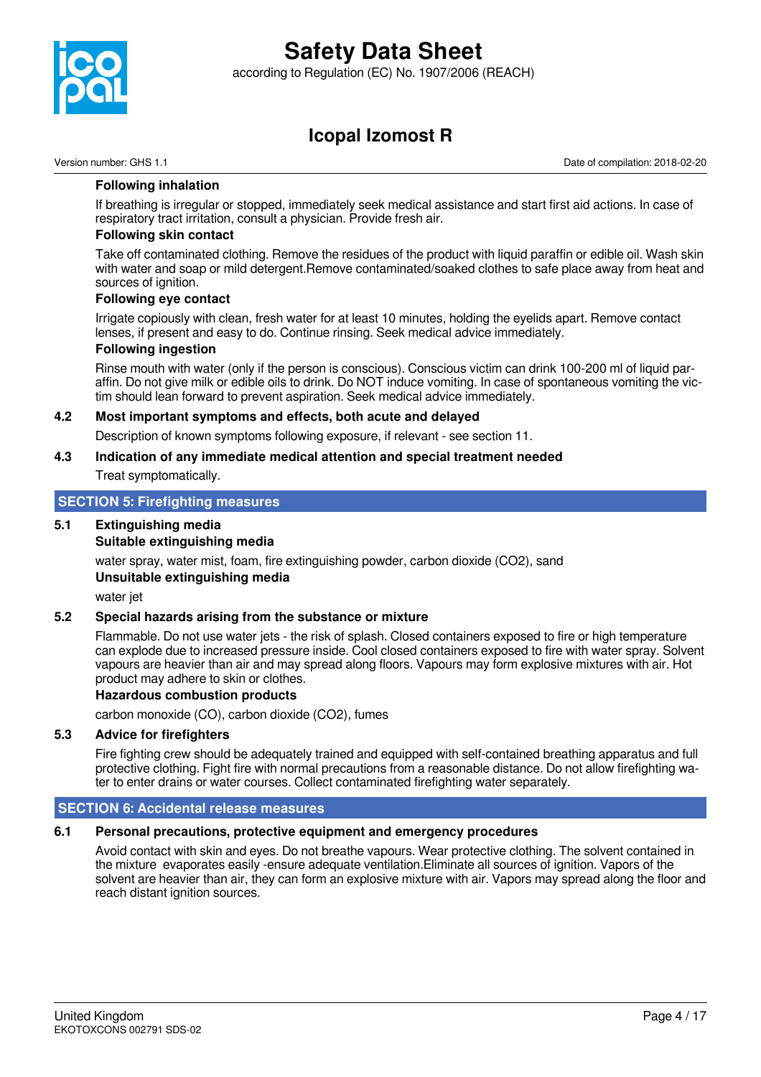

according to Regulation (EC) No. 1907/2006 (REACH)

### **Icopal Izomost R**

Version number: GHS 1.1 Date of compilation: 2018-02-20

### **Following inhalation**

If breathing is irregular or stopped, immediately seek medical assistance and start first aid actions. In case of respiratory tract irritation, consult a physician. Provide fresh air.

### **Following skin contact**

Take off contaminated clothing. Remove the residues of the product with liquid paraffin or edible oil. Wash skin with water and soap or mild detergent.Remove contaminated/soaked clothes to safe place away from heat and sources of ignition.

#### **Following eye contact**

Irrigate copiously with clean, fresh water for at least 10 minutes, holding the eyelids apart. Remove contact lenses, if present and easy to do. Continue rinsing. Seek medical advice immediately.

#### **Following ingestion**

Rinse mouth with water (only if the person is conscious). Conscious victim can drink 100-200 ml of liquid paraffin. Do not give milk or edible oils to drink. Do NOT induce vomiting. In case of spontaneous vomiting the victim should lean forward to prevent aspiration. Seek medical advice immediately.

### **4.2 Most important symptoms and effects, both acute and delayed**

Description of known symptoms following exposure, if relevant - see section 11.

## **4.3 Indication of any immediate medical attention and special treatment needed**

Treat symptomatically.

### **SECTION 5: Firefighting measures**

### **5.1 Extinguishing media**

### **Suitable extinguishing media**

water spray, water mist, foam, fire extinguishing powder, carbon dioxide (CO2), sand **Unsuitable extinguishing media**

water jet

### **5.2 Special hazards arising from the substance or mixture**

Flammable. Do not use water jets - the risk of splash. Closed containers exposed to fire or high temperature can explode due to increased pressure inside. Cool closed containers exposed to fire with water spray. Solvent vapours are heavier than air and may spread along floors. Vapours may form explosive mixtures with air. Hot product may adhere to skin or clothes.

#### **Hazardous combustion products**

carbon monoxide (CO), carbon dioxide (CO2), fumes

### **5.3 Advice for firefighters**

Fire fighting crew should be adequately trained and equipped with self-contained breathing apparatus and full protective clothing. Fight fire with normal precautions from a reasonable distance. Do not allow firefighting water to enter drains or water courses. Collect contaminated firefighting water separately.

### **SECTION 6: Accidental release measures**

### **6.1 Personal precautions, protective equipment and emergency procedures**

Avoid contact with skin and eyes. Do not breathe vapours. Wear protective clothing. The solvent contained in the mixture evaporates easily -ensure adequate ventilation.Eliminate all sources of ignition. Vapors of the solvent are heavier than air, they can form an explosive mixture with air. Vapors may spread along the floor and reach distant ignition sources.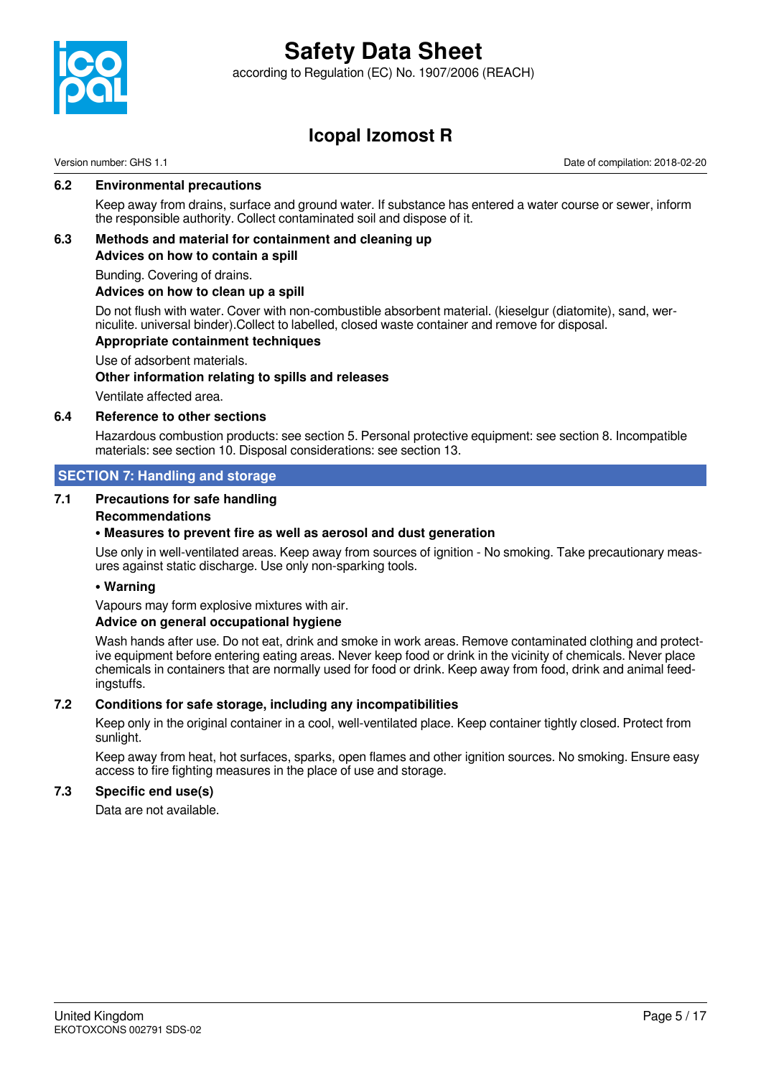

according to Regulation (EC) No. 1907/2006 (REACH)

### **Icopal Izomost R**

Version number: GHS 1.1 Date of compilation: 2018-02-20

### **6.2 Environmental precautions**

Keep away from drains, surface and ground water. If substance has entered a water course or sewer, inform the responsible authority. Collect contaminated soil and dispose of it.

### **6.3 Methods and material for containment and cleaning up Advices on how to contain a spill**

Bunding. Covering of drains.

### **Advices on how to clean up a spill**

Do not flush with water. Cover with non-combustible absorbent material. (kieselgur (diatomite), sand, werniculite. universal binder).Collect to labelled, closed waste container and remove for disposal.

### **Appropriate containment techniques**

Use of adsorbent materials. **Other information relating to spills and releases**

Ventilate affected area.

### **6.4 Reference to other sections**

Hazardous combustion products: see section 5. Personal protective equipment: see section 8. Incompatible materials: see section 10. Disposal considerations: see section 13.

### **SECTION 7: Handling and storage**

### **7.1 Precautions for safe handling**

### **Recommendations**

### **• Measures to prevent fire as well as aerosol and dust generation**

Use only in well-ventilated areas. Keep away from sources of ignition - No smoking. Take precautionary measures against static discharge. Use only non-sparking tools.

### **• Warning**

Vapours may form explosive mixtures with air.

### **Advice on general occupational hygiene**

Wash hands after use. Do not eat, drink and smoke in work areas. Remove contaminated clothing and protective equipment before entering eating areas. Never keep food or drink in the vicinity of chemicals. Never place chemicals in containers that are normally used for food or drink. Keep away from food, drink and animal feedingstuffs.

### **7.2 Conditions for safe storage, including any incompatibilities**

Keep only in the original container in a cool, well-ventilated place. Keep container tightly closed. Protect from sunlight.

Keep away from heat, hot surfaces, sparks, open flames and other ignition sources. No smoking. Ensure easy access to fire fighting measures in the place of use and storage.

### **7.3 Specific end use(s)**

Data are not available.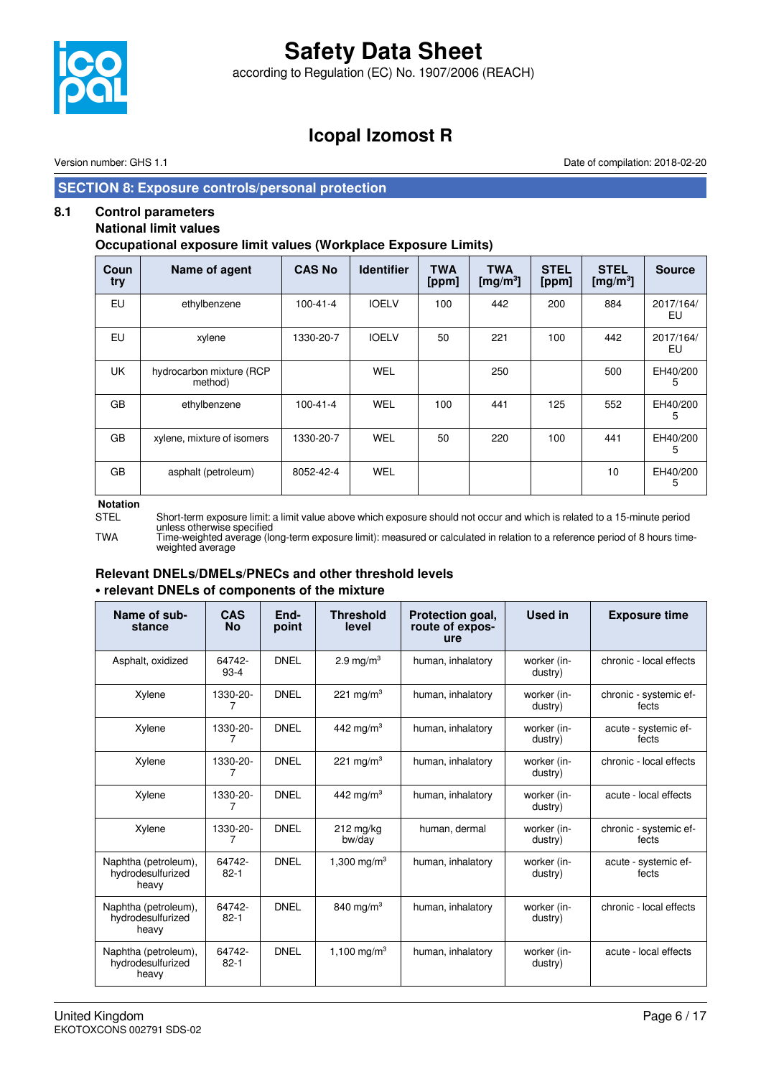

according to Regulation (EC) No. 1907/2006 (REACH)

### **Icopal Izomost R**

Version number: GHS 1.1 Date of compilation: 2018-02-20

### **SECTION 8: Exposure controls/personal protection**

### **8.1 Control parameters**

### **National limit values**

**Occupational exposure limit values (Workplace Exposure Limits)**

| Coun<br>try | Name of agent                       | <b>CAS No</b>  | <b>Identifier</b> | <b>TWA</b><br>[ppm] | <b>TWA</b><br>[mg/m <sup>3</sup> ] | <b>STEL</b><br>[ppm] | <b>STEL</b><br>[mg/m <sup>3</sup> ] | <b>Source</b>   |
|-------------|-------------------------------------|----------------|-------------------|---------------------|------------------------------------|----------------------|-------------------------------------|-----------------|
| EU          | ethylbenzene                        | $100 - 41 - 4$ | <b>IOELV</b>      | 100                 | 442                                | 200                  | 884                                 | 2017/164/<br>EU |
| EU          | xylene                              | 1330-20-7      | <b>IOELV</b>      | 50                  | 221                                | 100                  | 442                                 | 2017/164/<br>EU |
| <b>UK</b>   | hydrocarbon mixture (RCP<br>method) |                | <b>WEL</b>        |                     | 250                                |                      | 500                                 | EH40/200<br>5   |
| <b>GB</b>   | ethylbenzene                        | $100 - 41 - 4$ | WEL               | 100                 | 441                                | 125                  | 552                                 | EH40/200<br>5   |
| GB          | xylene, mixture of isomers          | 1330-20-7      | WEL               | 50                  | 220                                | 100                  | 441                                 | EH40/200<br>5   |
| GB          | asphalt (petroleum)                 | 8052-42-4      | WEL               |                     |                                    |                      | 10                                  | EH40/200<br>5   |

#### **Notation**

STEL Short-term exposure limit: a limit value above which exposure should not occur and which is related to a 15-minute period unless otherwise specified

TWA Time-weighted average (long-term exposure limit): measured or calculated in relation to a reference period of 8 hours timeweighted average

### **Relevant DNELs/DMELs/PNECs and other threshold levels • relevant DNELs of components of the mixture**

| Name of sub-<br>stance                             | <b>CAS</b><br><b>No</b> | End-<br>point | <b>Threshold</b><br>level | Protection goal,<br>route of expos-<br>ure | <b>Used in</b>         | <b>Exposure time</b>            |
|----------------------------------------------------|-------------------------|---------------|---------------------------|--------------------------------------------|------------------------|---------------------------------|
| Asphalt, oxidized                                  | 64742-<br>$93-4$        | <b>DNEL</b>   | 2.9 mg/m $3$              | human, inhalatory                          | worker (in-<br>dustry) | chronic - local effects         |
| Xylene                                             | 1330-20-                | <b>DNEL</b>   | 221 mg/m <sup>3</sup>     | human, inhalatory                          | worker (in-<br>dustry) | chronic - systemic ef-<br>fects |
| Xylene                                             | 1330-20-                | <b>DNEL</b>   | 442 mg/m <sup>3</sup>     | human, inhalatory                          | worker (in-<br>dustry) | acute - systemic ef-<br>fects   |
| Xylene                                             | 1330-20-<br>7           | <b>DNEL</b>   | 221 mg/m <sup>3</sup>     | human, inhalatory                          | worker (in-<br>dustry) | chronic - local effects         |
| Xylene                                             | 1330-20-                | <b>DNEL</b>   | 442 mg/m <sup>3</sup>     | human, inhalatory                          | worker (in-<br>dustry) | acute - local effects           |
| Xylene                                             | 1330-20-<br>7           | <b>DNEL</b>   | $212$ mg/kg<br>bw/day     | human, dermal                              | worker (in-<br>dustry) | chronic - systemic ef-<br>fects |
| Naphtha (petroleum),<br>hydrodesulfurized<br>heavy | 64742-<br>$82 - 1$      | <b>DNEL</b>   | 1.300 mg/m <sup>3</sup>   | human, inhalatory                          | worker (in-<br>dustry) | acute - systemic ef-<br>fects   |
| Naphtha (petroleum),<br>hydrodesulfurized<br>heavy | 64742-<br>$82 - 1$      | <b>DNEL</b>   | 840 mg/m <sup>3</sup>     | human, inhalatory                          | worker (in-<br>dustry) | chronic - local effects         |
| Naphtha (petroleum),<br>hydrodesulfurized<br>heavy | 64742-<br>$82 - 1$      | <b>DNEL</b>   | 1,100 mg/m <sup>3</sup>   | human, inhalatory                          | worker (in-<br>dustry) | acute - local effects           |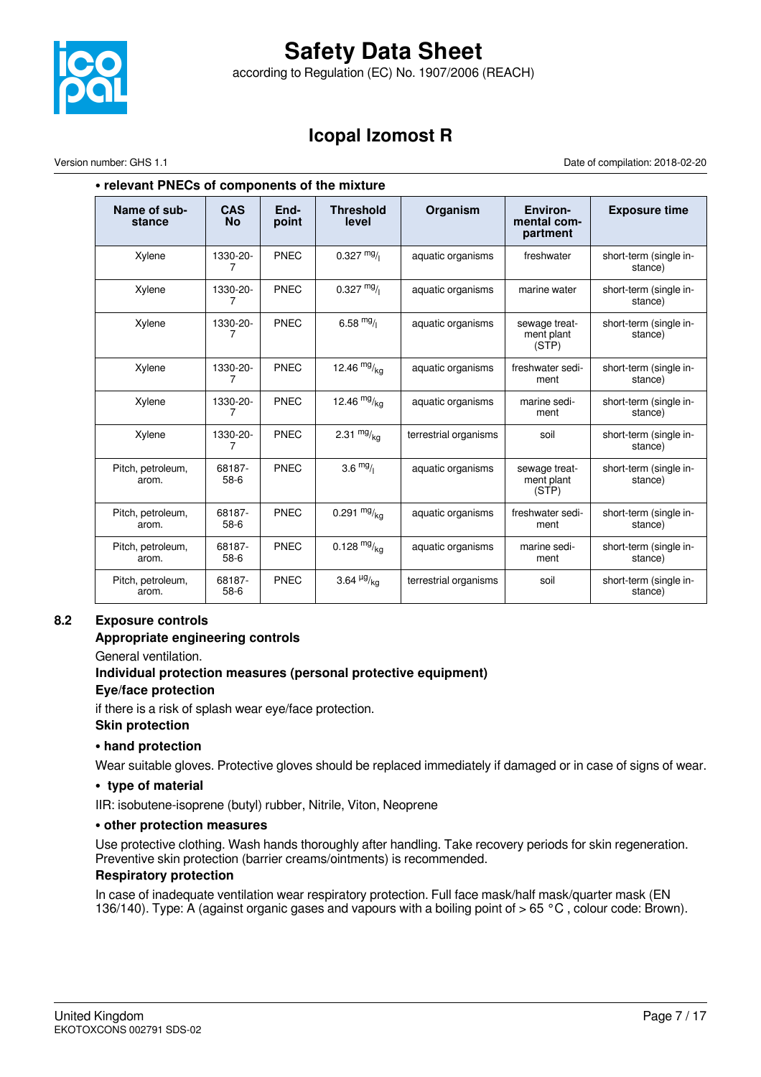

according to Regulation (EC) No. 1907/2006 (REACH)

### **Icopal Izomost R**

Version number: GHS 1.1 Date of compilation: 2018-02-20

### **• relevant PNECs of components of the mixture**

| Name of sub-<br>stance     | CAS<br><b>No</b> | End-<br>point | <b>Threshold</b><br>level     | Organism              | Environ-<br>mental com-<br>partment  | <b>Exposure time</b>              |
|----------------------------|------------------|---------------|-------------------------------|-----------------------|--------------------------------------|-----------------------------------|
| Xylene                     | 1330-20-<br>7    | <b>PNEC</b>   | $0.327 \frac{mg}{l}$          | aquatic organisms     | freshwater                           | short-term (single in-<br>stance) |
| Xylene                     | 1330-20-<br>7    | <b>PNEC</b>   | $0.327 \text{ mg}$            | aquatic organisms     | marine water                         | short-term (single in-<br>stance) |
| Xylene                     | 1330-20-<br>7    | PNEC          | 6.58 $mg/1$                   | aquatic organisms     | sewage treat-<br>ment plant<br>(STP) |                                   |
| Xylene                     | 1330-20-<br>7    | PNEC          | 12.46 $mg/kq$                 | aquatic organisms     | freshwater sedi-<br>ment             | short-term (single in-<br>stance) |
| Xylene                     | 1330-20-<br>7    | PNEC          | 12.46 $mg/kq$                 | aquatic organisms     | marine sedi-<br>ment                 | short-term (single in-<br>stance) |
| Xylene                     | 1330-20-<br>7    | PNEC          | 2.31 $mg/kq$                  | terrestrial organisms | soil                                 | short-term (single in-<br>stance) |
| Pitch, petroleum,<br>arom. | 68187-<br>$58-6$ | PNEC          | $3.6 \frac{mg}{l}$            | aquatic organisms     | sewage treat-<br>ment plant<br>(STP) | short-term (single in-<br>stance) |
| Pitch, petroleum,<br>arom. | 68187-<br>$58-6$ | PNEC          | 0.291 $mg/kq$                 | aquatic organisms     | freshwater sedi-<br>ment             | short-term (single in-<br>stance) |
| Pitch, petroleum,<br>arom. | 68187-<br>$58-6$ | PNEC          | 0.128 $mg/kq$                 | aquatic organisms     | marine sedi-<br>ment                 | short-term (single in-<br>stance) |
| Pitch, petroleum,<br>arom. | 68187-<br>58-6   | <b>PNEC</b>   | 3.64 $\frac{\mu g}{\kappa q}$ | terrestrial organisms | soil                                 | short-term (single in-<br>stance) |

### **8.2 Exposure controls**

### **Appropriate engineering controls**

General ventilation.

### **Individual protection measures (personal protective equipment) Eye/face protection**

if there is a risk of splash wear eye/face protection. **Skin protection**

### **• hand protection**

Wear suitable gloves. Protective gloves should be replaced immediately if damaged or in case of signs of wear.

### **• type of material**

IIR: isobutene-isoprene (butyl) rubber, Nitrile, Viton, Neoprene

### **• other protection measures**

Use protective clothing. Wash hands thoroughly after handling. Take recovery periods for skin regeneration. Preventive skin protection (barrier creams/ointments) is recommended.

### **Respiratory protection**

In case of inadequate ventilation wear respiratory protection. Full face mask/half mask/quarter mask (EN 136/140). Type: A (against organic gases and vapours with a boiling point of > 65 °C , colour code: Brown).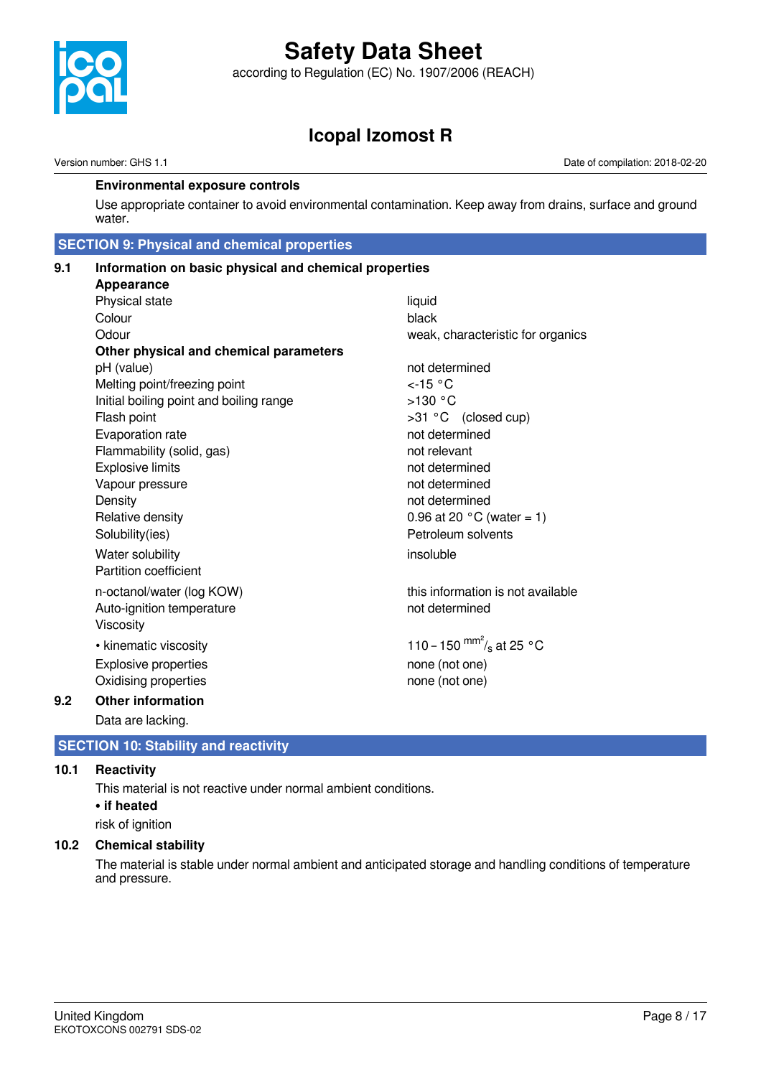

according to Regulation (EC) No. 1907/2006 (REACH)

### **Icopal Izomost R**

Version number: GHS 1.1 Date of compilation: 2018-02-20

### **Environmental exposure controls**

Use appropriate container to avoid environmental contamination. Keep away from drains, surface and ground water.

### **SECTION 9: Physical and chemical properties**

| 9.1 | Information on basic physical and chemical properties |                                     |  |  |  |  |  |
|-----|-------------------------------------------------------|-------------------------------------|--|--|--|--|--|
|     | Appearance                                            |                                     |  |  |  |  |  |
|     | Physical state                                        | liquid                              |  |  |  |  |  |
|     | Colour                                                | black                               |  |  |  |  |  |
|     | Odour                                                 | weak, characteristic for organics   |  |  |  |  |  |
|     | Other physical and chemical parameters                |                                     |  |  |  |  |  |
|     | pH (value)                                            | not determined                      |  |  |  |  |  |
|     | Melting point/freezing point                          | $<$ -15 °C                          |  |  |  |  |  |
|     | Initial boiling point and boiling range               | $>130$ °C                           |  |  |  |  |  |
|     | Flash point                                           | >31 °C (closed cup)                 |  |  |  |  |  |
|     | Evaporation rate                                      | not determined                      |  |  |  |  |  |
|     | Flammability (solid, gas)                             | not relevant                        |  |  |  |  |  |
|     | <b>Explosive limits</b>                               | not determined                      |  |  |  |  |  |
|     | Vapour pressure                                       | not determined                      |  |  |  |  |  |
|     | Density                                               | not determined                      |  |  |  |  |  |
|     | Relative density                                      | 0.96 at 20 $^{\circ}$ C (water = 1) |  |  |  |  |  |
|     | Solubility(ies)                                       | Petroleum solvents                  |  |  |  |  |  |
|     | Water solubility                                      | insoluble                           |  |  |  |  |  |
|     | Partition coefficient                                 |                                     |  |  |  |  |  |
|     | n-octanol/water (log KOW)                             | this information is not available   |  |  |  |  |  |
|     | Auto-ignition temperature                             | not determined                      |  |  |  |  |  |
|     | Viscosity                                             |                                     |  |  |  |  |  |
|     | • kinematic viscosity                                 | 110 – 150 $\frac{mm^2}{s}$ at 25 °C |  |  |  |  |  |
|     | <b>Explosive properties</b>                           | none (not one)                      |  |  |  |  |  |
|     | Oxidising properties                                  | none (not one)                      |  |  |  |  |  |
| 9.2 | <b>Other information</b>                              |                                     |  |  |  |  |  |

Data are lacking.

### **SECTION 10: Stability and reactivity**

### **10.1 Reactivity**

This material is not reactive under normal ambient conditions. **• if heated** risk of ignition

### **10.2 Chemical stability**

The material is stable under normal ambient and anticipated storage and handling conditions of temperature and pressure.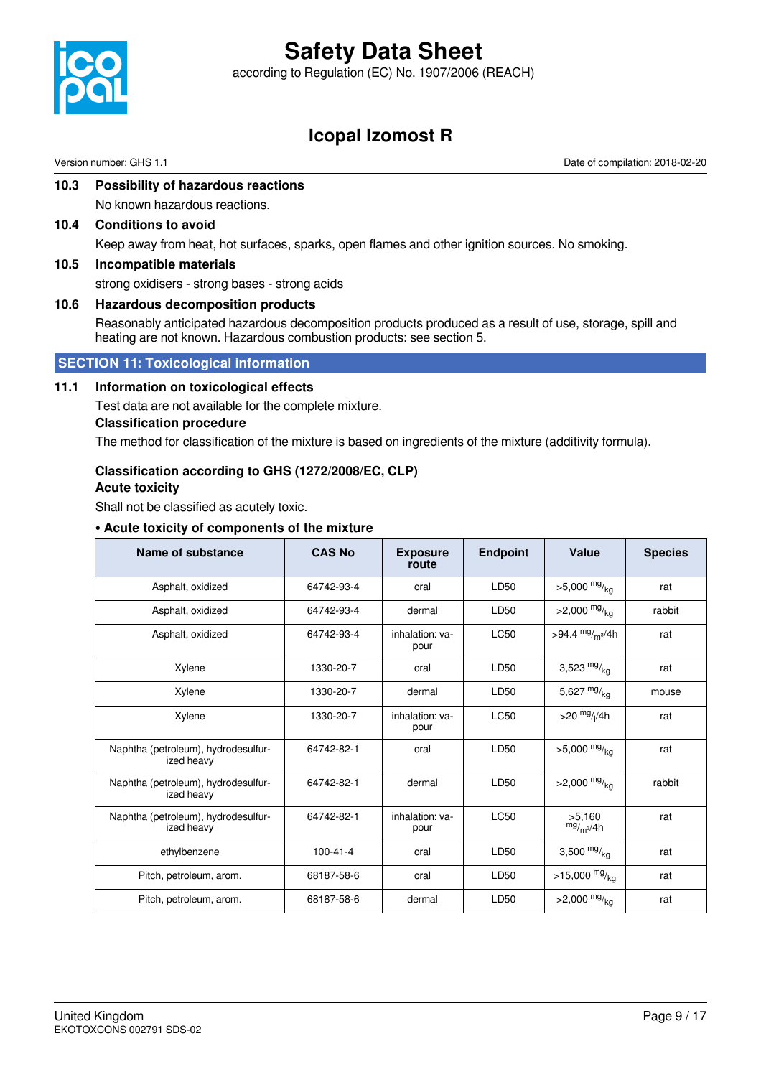

according to Regulation (EC) No. 1907/2006 (REACH)

### **Icopal Izomost R**

Version number: GHS 1.1 Date of compilation: 2018-02-20

### **10.3 Possibility of hazardous reactions**

No known hazardous reactions.

- **10.4 Conditions to avoid** Keep away from heat, hot surfaces, sparks, open flames and other ignition sources. No smoking.
- **10.5 Incompatible materials**

strong oxidisers - strong bases - strong acids

### **10.6 Hazardous decomposition products**

Reasonably anticipated hazardous decomposition products produced as a result of use, storage, spill and heating are not known. Hazardous combustion products: see section 5.

### **SECTION 11: Toxicological information**

### **11.1 Information on toxicological effects**

Test data are not available for the complete mixture.

### **Classification procedure**

The method for classification of the mixture is based on ingredients of the mixture (additivity formula).

### **Classification according to GHS (1272/2008/EC, CLP)**

### **Acute toxicity**

Shall not be classified as acutely toxic.

### **• Acute toxicity of components of the mixture**

| Name of substance                                 | <b>CAS No</b>  | <b>Exposure</b><br>route | <b>Endpoint</b> | Value                       | <b>Species</b> |
|---------------------------------------------------|----------------|--------------------------|-----------------|-----------------------------|----------------|
| Asphalt, oxidized                                 | 64742-93-4     | oral                     | LD50            | $>5,000$ mg/ <sub>kg</sub>  | rat            |
| Asphalt, oxidized                                 | 64742-93-4     | dermal                   | LD50            | $>2,000$ mg/ <sub>kg</sub>  | rabbit         |
| Asphalt, oxidized                                 | 64742-93-4     | inhalation: va-<br>pour  | <b>LC50</b>     | >94.4 mg/ <sub>m3</sub> /4h | rat            |
| Xylene                                            | 1330-20-7      | oral                     | LD50            | 3,523 $mg/kq$               | rat            |
| Xylene                                            | 1330-20-7      | dermal                   | LD50            | 5,627 $mg/kq$               | mouse          |
| Xylene                                            | 1330-20-7      | inhalation: va-<br>pour  | <b>LC50</b>     | >20 $mg/1/4h$               | rat            |
| Naphtha (petroleum), hydrodesulfur-<br>ized heavy | 64742-82-1     | oral                     | LD50            | $>5,000$ mg/ <sub>kg</sub>  | rat            |
| Naphtha (petroleum), hydrodesulfur-<br>ized heavy | 64742-82-1     | dermal                   | LD50            | $>2,000$ mg/ <sub>ka</sub>  | rabbit         |
| Naphtha (petroleum), hydrodesulfur-<br>ized heavy | 64742-82-1     | inhalation: va-<br>pour  | <b>LC50</b>     | >5,160<br>$mg/m^3/4h$       | rat            |
| ethylbenzene                                      | $100 - 41 - 4$ | oral                     | LD50            | 3,500 $mg/kq$               | rat            |
| Pitch, petroleum, arom.                           | 68187-58-6     | oral                     | LD50            | $>15,000$ mg/ <sub>kg</sub> | rat            |
| Pitch, petroleum, arom.                           | 68187-58-6     | dermal                   | LD50            | $>2,000$ mg/ <sub>ka</sub>  | rat            |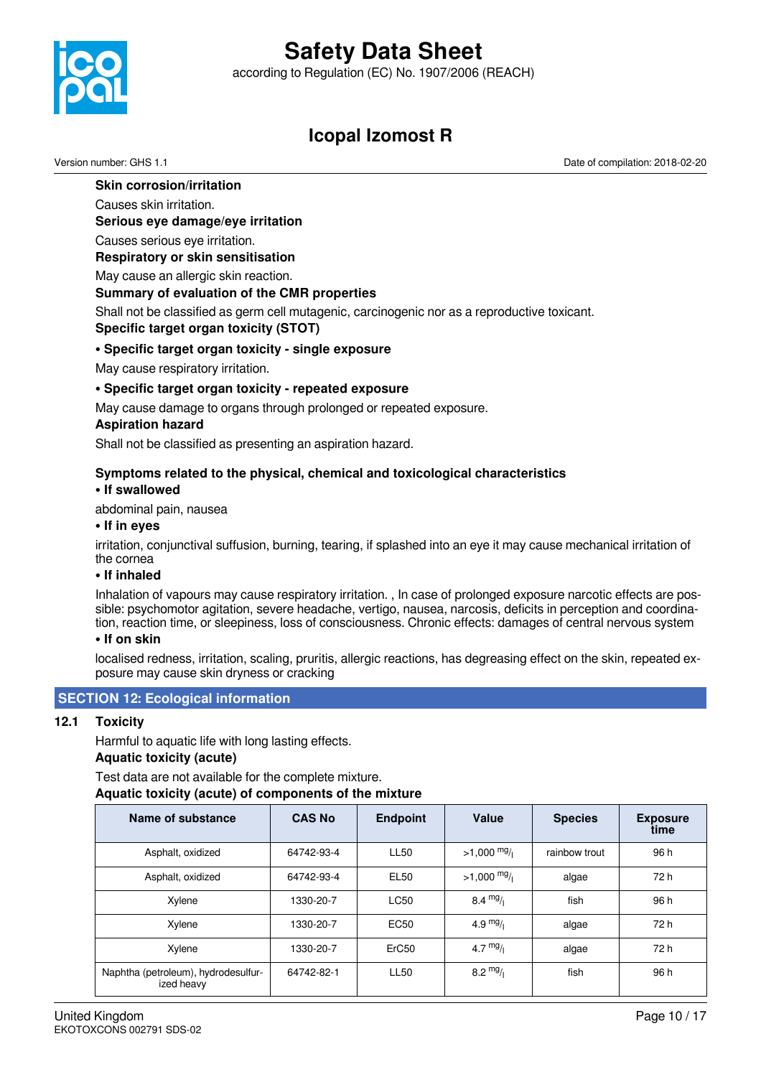according to Regulation (EC) No. 1907/2006 (REACH)



### **Icopal Izomost R**

Version number: GHS 1.1 Date of compilation: 2018-02-20

### **Skin corrosion/irritation**

### Causes skin irritation.

**Serious eye damage/eye irritation**

Causes serious eye irritation.

#### **Respiratory or skin sensitisation**

May cause an allergic skin reaction.

### **Summary of evaluation of the CMR properties**

Shall not be classified as germ cell mutagenic, carcinogenic nor as a reproductive toxicant. **Specific target organ toxicity (STOT)**

### **• Specific target organ toxicity - single exposure**

May cause respiratory irritation.

### **• Specific target organ toxicity - repeated exposure**

May cause damage to organs through prolonged or repeated exposure.

### **Aspiration hazard**

Shall not be classified as presenting an aspiration hazard.

### **Symptoms related to the physical, chemical and toxicological characteristics**

#### **• If swallowed**

abdominal pain, nausea

#### **• If in eyes**

irritation, conjunctival suffusion, burning, tearing, if splashed into an eye it may cause mechanical irritation of the cornea

#### **• If inhaled**

Inhalation of vapours may cause respiratory irritation. , In case of prolonged exposure narcotic effects are possible: psychomotor agitation, severe headache, vertigo, nausea, narcosis, deficits in perception and coordination, reaction time, or sleepiness, loss of consciousness. Chronic effects: damages of central nervous system

#### **• If on skin**

localised redness, irritation, scaling, pruritis, allergic reactions, has degreasing effect on the skin, repeated exposure may cause skin dryness or cracking

### **SECTION 12: Ecological information**

### **12.1 Toxicity**

Harmful to aquatic life with long lasting effects.

### **Aquatic toxicity (acute)**

Test data are not available for the complete mixture. **Aquatic toxicity (acute) of components of the mixture**

| Name of substance                                 | <b>CAS No</b> | <b>Endpoint</b>  | Value              | <b>Species</b> | <b>Exposure</b><br>time |
|---------------------------------------------------|---------------|------------------|--------------------|----------------|-------------------------|
| Asphalt, oxidized                                 | 64742-93-4    | <b>LL50</b>      | $>1,000$ mg/       | rainbow trout  | 96 h                    |
| Asphalt, oxidized                                 | 64742-93-4    | <b>EL50</b>      | $>1,000$ mg/       | algae          | 72 h                    |
| Xylene                                            | 1330-20-7     | <b>LC50</b>      | 8.4 $mg/1$         | fish           | 96 h                    |
| Xylene                                            | 1330-20-7     | EC <sub>50</sub> | 4.9 $mg/1$         | algae          | 72 h                    |
| Xylene                                            | 1330-20-7     | ErC50            | 4.7 $mg/1$         | algae          | 72 h                    |
| Naphtha (petroleum), hydrodesulfur-<br>ized heavy | 64742-82-1    | <b>LL50</b>      | $8.2 \frac{mg}{l}$ | fish           | 96 h                    |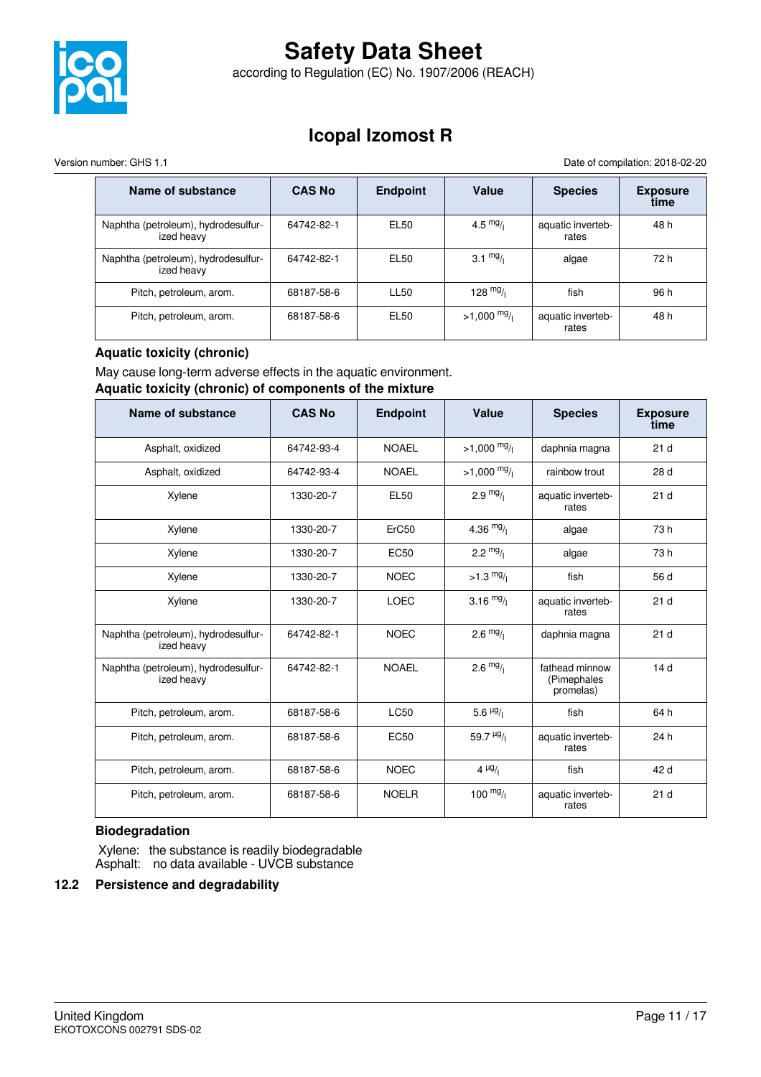

according to Regulation (EC) No. 1907/2006 (REACH)

### **Icopal Izomost R**

Version number: GHS 1.1 Date of compilation: 2018-02-20

| Name of substance                                 | <b>CAS No</b> | <b>Endpoint</b> | Value              | <b>Species</b>             | <b>Exposure</b><br>time |
|---------------------------------------------------|---------------|-----------------|--------------------|----------------------------|-------------------------|
| Naphtha (petroleum), hydrodesulfur-<br>ized heavy | 64742-82-1    | EL50            | 4.5 $mg/1$         | aquatic inverteb-<br>rates | 48 h                    |
| Naphtha (petroleum), hydrodesulfur-<br>ized heavy | 64742-82-1    | EL50            | $3.1 \frac{mg}{l}$ | algae                      | 72 h                    |
| Pitch, petroleum, arom.                           | 68187-58-6    | <b>LL50</b>     | 128 $mg/1$         | fish                       | 96 h                    |
| Pitch, petroleum, arom.                           | 68187-58-6    | EL50            | $>1,000$ mg/       | aquatic inverteb-<br>rates | 48 h                    |

### **Aquatic toxicity (chronic)**

May cause long-term adverse effects in the aquatic environment.

### **Aquatic toxicity (chronic) of components of the mixture**

| Name of substance                                 | <b>CAS No</b> | <b>Endpoint</b> | Value                    | <b>Species</b>                             | <b>Exposure</b><br>time |
|---------------------------------------------------|---------------|-----------------|--------------------------|--------------------------------------------|-------------------------|
| Asphalt, oxidized                                 | 64742-93-4    | <b>NOAEL</b>    | $>1,000$ mg/             | daphnia magna                              | 21 <sub>d</sub>         |
| Asphalt, oxidized                                 | 64742-93-4    | <b>NOAEL</b>    | $>1,000 \frac{mg}{l}$    | rainbow trout                              | 28 d                    |
| Xylene                                            | 1330-20-7     | <b>EL50</b>     | $2.9 \frac{mg}{l}$       | aquatic inverteb-<br>rates                 | 21 <sub>d</sub>         |
| Xylene                                            | 1330-20-7     | ErC50           | 4.36 $mg/$               | algae                                      | 73 h                    |
| Xylene                                            | 1330-20-7     | <b>EC50</b>     | 2.2 $mg/1$               | algae                                      | 73h                     |
| Xylene                                            | 1330-20-7     | <b>NOEC</b>     | $>1.3 \frac{mg}{l}$      | fish                                       | 56 d                    |
| Xylene                                            | 1330-20-7     | <b>LOEC</b>     | 3.16 $mg/$               | aquatic inverteb-<br>rates                 | 21d                     |
| Naphtha (petroleum), hydrodesulfur-<br>ized heavy | 64742-82-1    | <b>NOEC</b>     | $2.6 \frac{mg}{l}$       | daphnia magna                              | 21 <sub>d</sub>         |
| Naphtha (petroleum), hydrodesulfur-<br>ized heavy | 64742-82-1    | <b>NOAEL</b>    | $2.6 \frac{mg}{l}$       | fathead minnow<br>(Pimephales<br>promelas) | 14 <sub>d</sub>         |
| Pitch, petroleum, arom.                           | 68187-58-6    | <b>LC50</b>     | 5.6 $\mu$ g/             | fish                                       | 64 h                    |
| Pitch, petroleum, arom.                           | 68187-58-6    | <b>EC50</b>     | 59.7 $\frac{\mu g}{\mu}$ | aquatic inverteb-<br>rates                 | 24 h                    |
| Pitch, petroleum, arom.                           | 68187-58-6    | <b>NOEC</b>     | $4 \frac{\mu g}{\pi}$    | fish                                       | 42 d                    |
| Pitch, petroleum, arom.                           | 68187-58-6    | <b>NOELR</b>    | $100 \frac{mg}{l}$       | aquatic inverteb-<br>rates                 | 21 <sub>d</sub>         |

### **Biodegradation**

 Xylene: the substance is readily biodegradable Asphalt: no data available - UVCB substance

### **12.2 Persistence and degradability**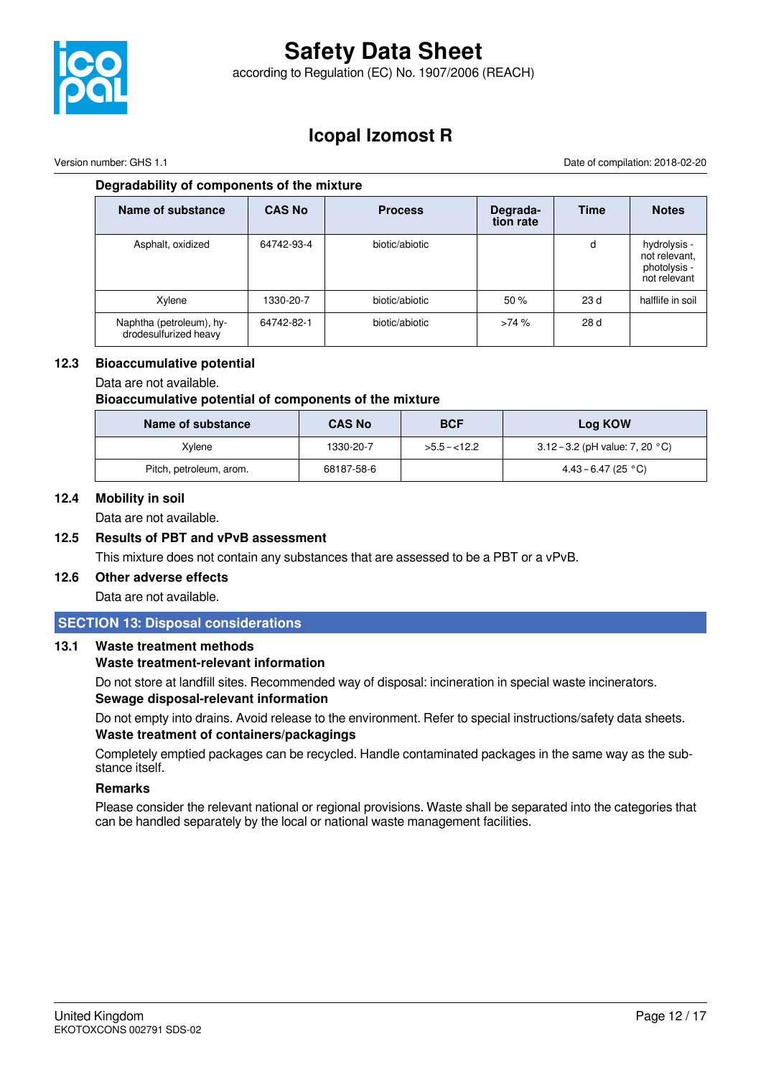

according to Regulation (EC) No. 1907/2006 (REACH)

### **Icopal Izomost R**

Version number: GHS 1.1 Date of compilation: 2018-02-20

### **Degradability of components of the mixture**

| Name of substance                                 | <b>CAS No</b> | <b>Process</b> | Degrada-<br>tion rate | <b>Time</b>     | <b>Notes</b>                                                  |
|---------------------------------------------------|---------------|----------------|-----------------------|-----------------|---------------------------------------------------------------|
| Asphalt, oxidized                                 | 64742-93-4    | biotic/abiotic |                       | d               | hydrolysis -<br>not relevant,<br>photolysis -<br>not relevant |
| Xylene                                            | 1330-20-7     | biotic/abiotic | 50%                   | 23 <sub>d</sub> | halflife in soil                                              |
| Naphtha (petroleum), hy-<br>drodesulfurized heavy | 64742-82-1    | biotic/abiotic | >74%                  | 28 d            |                                                               |

### **12.3 Bioaccumulative potential**

Data are not available.

### **Bioaccumulative potential of components of the mixture**

| Name of substance       | <b>CAS No</b> | <b>BCF</b>    | Log KOW                                   |
|-------------------------|---------------|---------------|-------------------------------------------|
| Xvlene                  | 1330-20-7     | $>5.5 - 12.2$ | 3.12 – 3.2 (pH value: 7, 20 $^{\circ}$ C) |
| Pitch, petroleum, arom. | 68187-58-6    |               | $4.43 - 6.47$ (25 °C)                     |

### **12.4 Mobility in soil**

Data are not available.

### **12.5 Results of PBT and vPvB assessment**

This mixture does not contain any substances that are assessed to be a PBT or a vPvB.

### **12.6 Other adverse effects**

Data are not available.

### **SECTION 13: Disposal considerations**

### **13.1 Waste treatment methods**

### **Waste treatment-relevant information**

Do not store at landfill sites. Recommended way of disposal: incineration in special waste incinerators. **Sewage disposal-relevant information**

Do not empty into drains. Avoid release to the environment. Refer to special instructions/safety data sheets. **Waste treatment of containers/packagings**

Completely emptied packages can be recycled. Handle contaminated packages in the same way as the substance itself.

### **Remarks**

Please consider the relevant national or regional provisions. Waste shall be separated into the categories that can be handled separately by the local or national waste management facilities.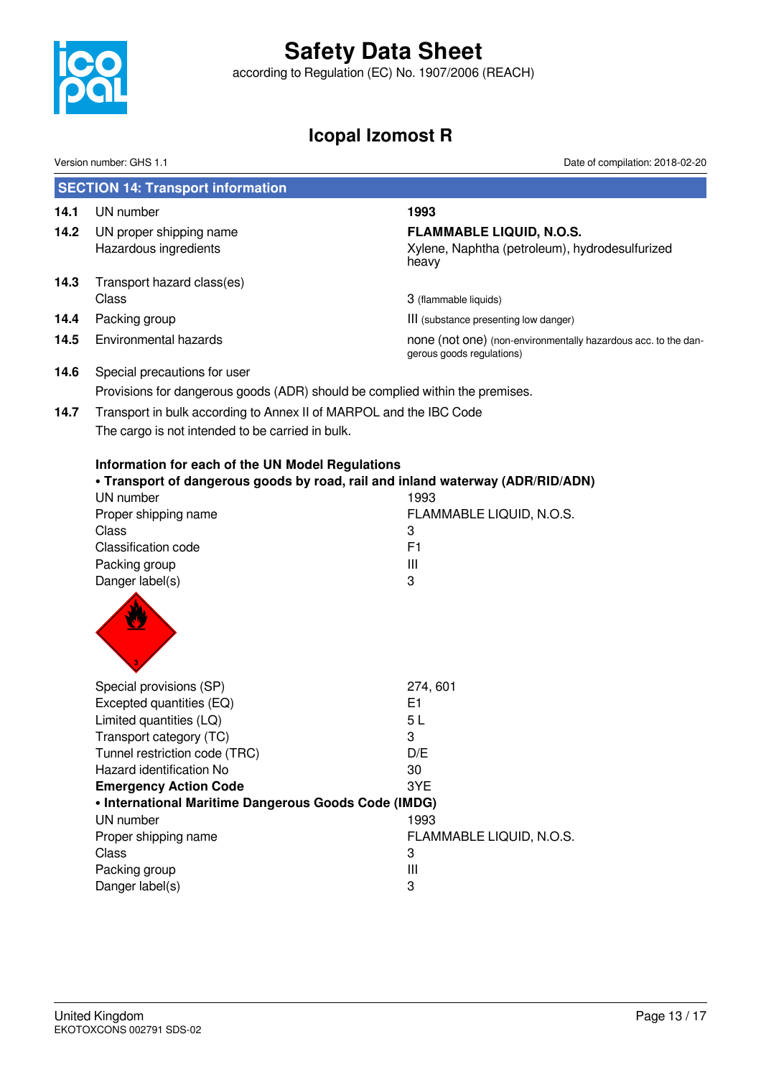

according to Regulation (EC) No. 1907/2006 (REACH)

### **Icopal Izomost R**

Version number: GHS 1.1 Date of compilation: 2018-02-20

|      | <b>SECTION 14: Transport information</b>                                                                                                        |                                                                                             |
|------|-------------------------------------------------------------------------------------------------------------------------------------------------|---------------------------------------------------------------------------------------------|
| 14.1 | UN number                                                                                                                                       | 1993                                                                                        |
| 14.2 | UN proper shipping name                                                                                                                         | <b>FLAMMABLE LIQUID, N.O.S.</b>                                                             |
|      | Hazardous ingredients                                                                                                                           | Xylene, Naphtha (petroleum), hydrodesulfurized<br>heavy                                     |
| 14.3 | Transport hazard class(es)                                                                                                                      |                                                                                             |
|      | Class                                                                                                                                           | 3 (flammable liquids)                                                                       |
| 14.4 | Packing group                                                                                                                                   | III (substance presenting low danger)                                                       |
| 14.5 | Environmental hazards                                                                                                                           | none (not one) (non-environmentally hazardous acc. to the dan-<br>gerous goods regulations) |
| 14.6 | Special precautions for user                                                                                                                    |                                                                                             |
|      | Provisions for dangerous goods (ADR) should be complied within the premises.                                                                    |                                                                                             |
| 14.7 | Transport in bulk according to Annex II of MARPOL and the IBC Code                                                                              |                                                                                             |
|      | The cargo is not intended to be carried in bulk.                                                                                                |                                                                                             |
|      | Information for each of the UN Model Regulations<br>. Transport of dangerous goods by road, rail and inland waterway (ADR/RID/ADN)<br>UN number | 1993                                                                                        |
|      | Proper shipping name                                                                                                                            | FLAMMABLE LIQUID, N.O.S.                                                                    |
|      | Class                                                                                                                                           | 3                                                                                           |
|      | Classification code                                                                                                                             | F <sub>1</sub>                                                                              |
|      | Packing group                                                                                                                                   | Ш                                                                                           |
|      | Danger label(s)                                                                                                                                 | 3                                                                                           |
|      |                                                                                                                                                 |                                                                                             |
|      | Special provisions (SP)                                                                                                                         | 274,601                                                                                     |
|      | Excepted quantities (EQ)                                                                                                                        | E <sub>1</sub>                                                                              |
|      | Limited quantities (LQ)                                                                                                                         | 5L                                                                                          |
|      | Transport category (TC)                                                                                                                         | 3                                                                                           |
|      | Tunnel restriction code (TRC)                                                                                                                   | D/E                                                                                         |
|      | Hazard identification No                                                                                                                        | 30                                                                                          |
|      | <b>Emergency Action Code</b><br>• International Maritime Dangerous Goods Code (IMDG)                                                            | 3YE                                                                                         |
|      | UN number                                                                                                                                       | 1993                                                                                        |
|      | Proper shipping name                                                                                                                            | FLAMMABLE LIQUID, N.O.S.                                                                    |
|      | <b>Class</b>                                                                                                                                    | 3                                                                                           |
|      | Packing group                                                                                                                                   | Ш                                                                                           |
|      | Danger label(s)                                                                                                                                 | 3                                                                                           |
|      |                                                                                                                                                 |                                                                                             |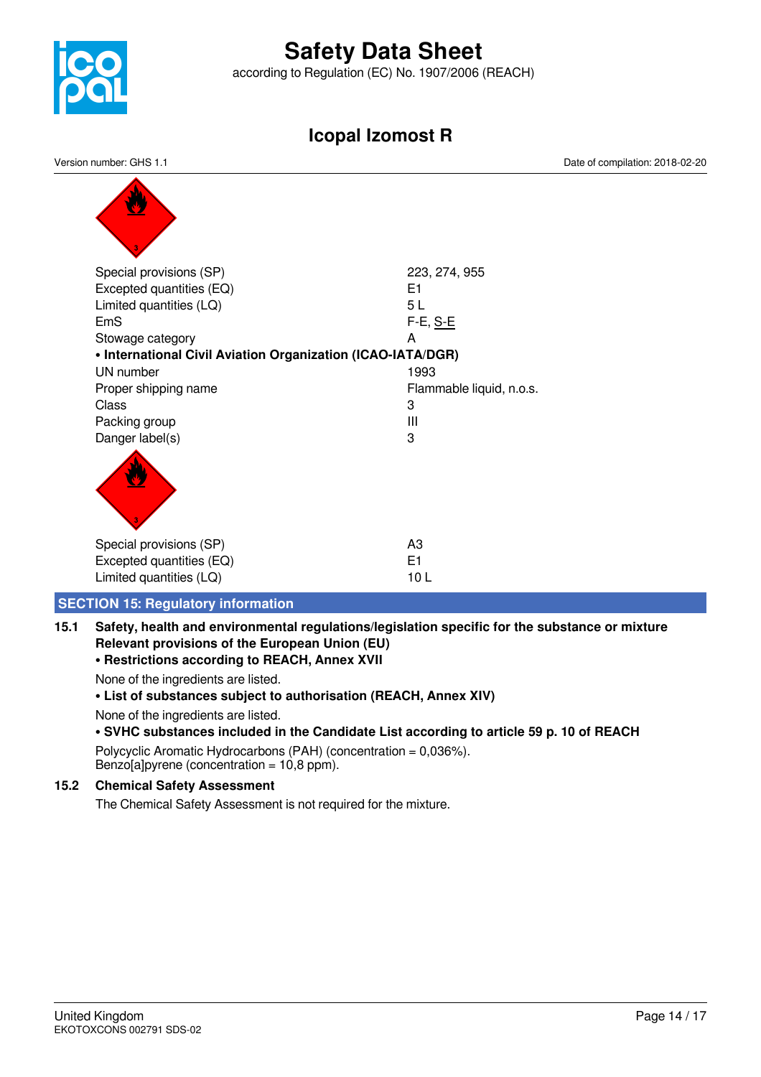

according to Regulation (EC) No. 1907/2006 (REACH)

### **Icopal Izomost R**

Version number: GHS 1.1 Date of compilation: 2018-02-20

| Special provisions (SP)                                     | 223, 274, 955            |
|-------------------------------------------------------------|--------------------------|
| Excepted quantities (EQ)                                    | E1                       |
| Limited quantities (LQ)                                     | 5L                       |
| <b>EmS</b>                                                  | F-E, S-E                 |
| Stowage category                                            | A                        |
| • International Civil Aviation Organization (ICAO-IATA/DGR) |                          |
| UN number                                                   | 1993                     |
| Proper shipping name                                        | Flammable liquid, n.o.s. |
| Class                                                       | 3                        |
| Packing group                                               | $\mathbf{III}$           |
| Danger label(s)                                             | 3                        |
|                                                             |                          |
| Special provisions (SP)                                     | A <sub>3</sub>           |
| Excepted quantities (EQ)                                    | E1                       |
| Limited quantities (LQ)                                     | 10L                      |

### **SECTION 15: Regulatory information**

**15.1 Safety, health and environmental regulations/legislation specific for the substance or mixture Relevant provisions of the European Union (EU)**

### **• Restrictions according to REACH, Annex XVII**

None of the ingredients are listed.

### **• List of substances subject to authorisation (REACH, Annex XIV)**

None of the ingredients are listed.

### **• SVHC substances included in the Candidate List according to article 59 p. 10 of REACH**

Polycyclic Aromatic Hydrocarbons (PAH) (concentration = 0,036%). Benzo[a]pyrene (concentration =  $10,8$  ppm).

### **15.2 Chemical Safety Assessment**

The Chemical Safety Assessment is not required for the mixture.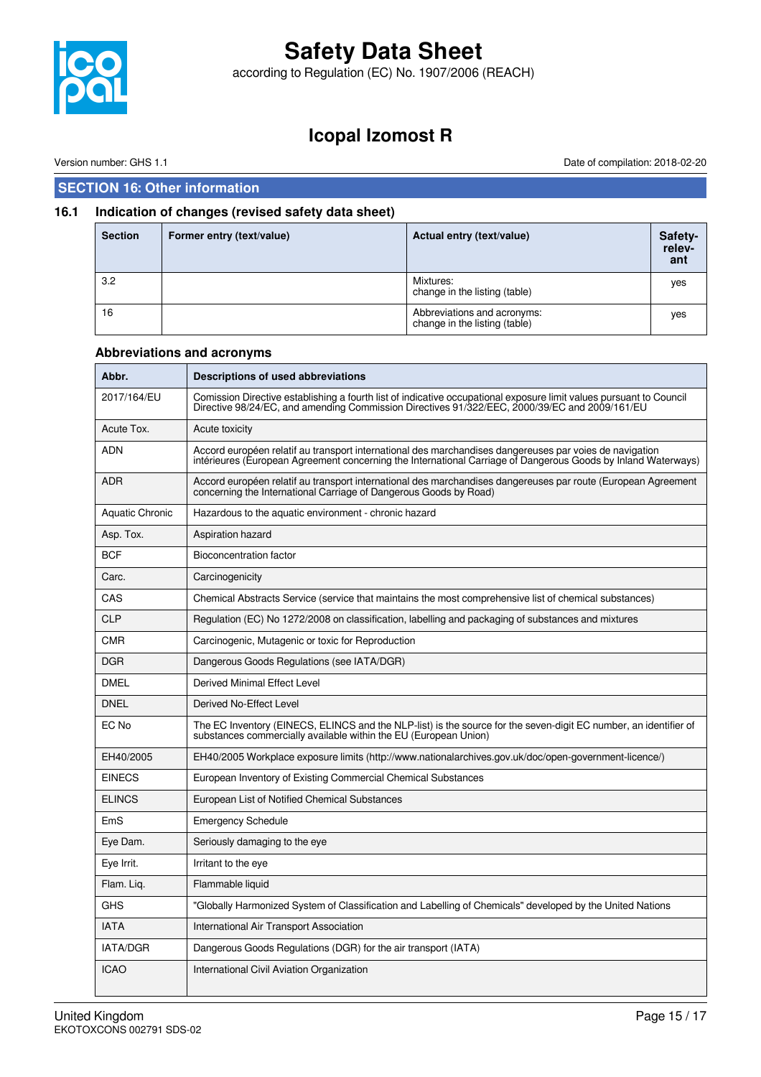

according to Regulation (EC) No. 1907/2006 (REACH)

### **Icopal Izomost R**

Version number: GHS 1.1 Date of compilation: 2018-02-20

### **SECTION 16: Other information**

### **16.1 Indication of changes (revised safety data sheet)**

| <b>Section</b> | Former entry (text/value) | Actual entry (text/value)                                    | Safety-<br>relev-<br>ant |
|----------------|---------------------------|--------------------------------------------------------------|--------------------------|
| 3.2            |                           | Mixtures:<br>change in the listing (table)                   | yes                      |
| 16             |                           | Abbreviations and acronyms:<br>change in the listing (table) | yes                      |

### **Abbreviations and acronyms**

| Abbr.                  | Descriptions of used abbreviations                                                                                                                                                                                       |
|------------------------|--------------------------------------------------------------------------------------------------------------------------------------------------------------------------------------------------------------------------|
| 2017/164/EU            | Comission Directive establishing a fourth list of indicative occupational exposure limit values pursuant to Council<br>Directive 98/24/EC, and amending Commission Directives 91/322/EEC, 2000/39/EC and 2009/161/EU     |
| Acute Tox.             | Acute toxicity                                                                                                                                                                                                           |
| ADN                    | Accord européen relatif au transport international des marchandises dangereuses par voies de navigation<br>intérieures (European Agreement concerning the International Carriage of Dangerous Goods by Inland Waterways) |
| <b>ADR</b>             | Accord européen relatif au transport international des marchandises dangereuses par route (European Agreement<br>concerning the International Carriage of Dangerous Goods by Road)                                       |
| <b>Aquatic Chronic</b> | Hazardous to the aquatic environment - chronic hazard                                                                                                                                                                    |
| Asp. Tox.              | Aspiration hazard                                                                                                                                                                                                        |
| <b>BCF</b>             | Bioconcentration factor                                                                                                                                                                                                  |
| Carc.                  | Carcinogenicity                                                                                                                                                                                                          |
| CAS                    | Chemical Abstracts Service (service that maintains the most comprehensive list of chemical substances)                                                                                                                   |
| <b>CLP</b>             | Regulation (EC) No 1272/2008 on classification, labelling and packaging of substances and mixtures                                                                                                                       |
| <b>CMR</b>             | Carcinogenic, Mutagenic or toxic for Reproduction                                                                                                                                                                        |
| <b>DGR</b>             | Dangerous Goods Regulations (see IATA/DGR)                                                                                                                                                                               |
| <b>DMEL</b>            | Derived Minimal Effect Level                                                                                                                                                                                             |
| <b>DNEL</b>            | Derived No-Effect Level                                                                                                                                                                                                  |
| EC No                  | The EC Inventory (EINECS, ELINCS and the NLP-list) is the source for the seven-digit EC number, an identifier of<br>substances commercially available within the EU (European Union)                                     |
| EH40/2005              | EH40/2005 Workplace exposure limits (http://www.nationalarchives.gov.uk/doc/open-government-licence/)                                                                                                                    |
| <b>EINECS</b>          | European Inventory of Existing Commercial Chemical Substances                                                                                                                                                            |
| <b>ELINCS</b>          | European List of Notified Chemical Substances                                                                                                                                                                            |
| EmS                    | <b>Emergency Schedule</b>                                                                                                                                                                                                |
| Eye Dam.               | Seriously damaging to the eye                                                                                                                                                                                            |
| Eye Irrit.             | Irritant to the eye                                                                                                                                                                                                      |
| Flam. Liq.             | Flammable liquid                                                                                                                                                                                                         |
| <b>GHS</b>             | "Globally Harmonized System of Classification and Labelling of Chemicals" developed by the United Nations                                                                                                                |
| <b>IATA</b>            | International Air Transport Association                                                                                                                                                                                  |
| <b>IATA/DGR</b>        | Dangerous Goods Regulations (DGR) for the air transport (IATA)                                                                                                                                                           |
| <b>ICAO</b>            | International Civil Aviation Organization                                                                                                                                                                                |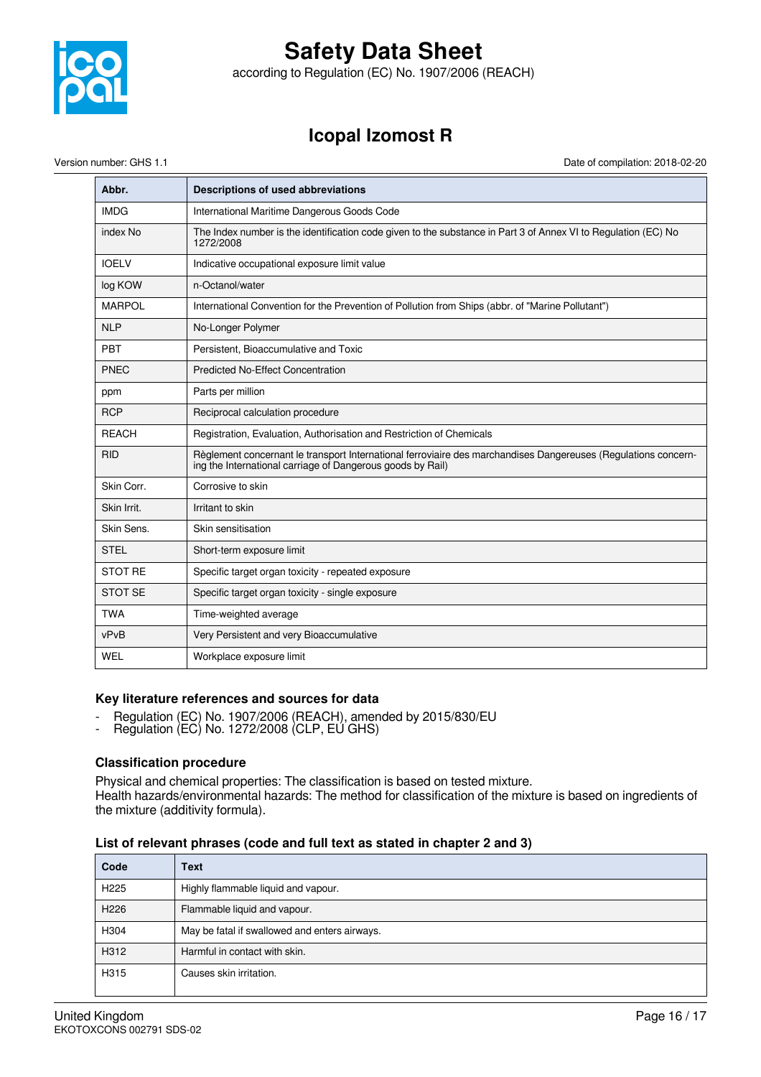

according to Regulation (EC) No. 1907/2006 (REACH)

### **Icopal Izomost R**

Version number: GHS 1.1 Date of compilation: 2018-02-20

| Abbr.          | Descriptions of used abbreviations                                                                                                                                           |
|----------------|------------------------------------------------------------------------------------------------------------------------------------------------------------------------------|
| <b>IMDG</b>    | International Maritime Dangerous Goods Code                                                                                                                                  |
| index No       | The Index number is the identification code given to the substance in Part 3 of Annex VI to Regulation (EC) No<br>1272/2008                                                  |
| <b>IOELV</b>   | Indicative occupational exposure limit value                                                                                                                                 |
| log KOW        | n-Octanol/water                                                                                                                                                              |
| <b>MARPOL</b>  | International Convention for the Prevention of Pollution from Ships (abbr. of "Marine Pollutant")                                                                            |
| <b>NLP</b>     | No-Longer Polymer                                                                                                                                                            |
| PBT            | Persistent, Bioaccumulative and Toxic                                                                                                                                        |
| <b>PNEC</b>    | <b>Predicted No-Effect Concentration</b>                                                                                                                                     |
| ppm            | Parts per million                                                                                                                                                            |
| <b>RCP</b>     | Reciprocal calculation procedure                                                                                                                                             |
| <b>REACH</b>   | Registration, Evaluation, Authorisation and Restriction of Chemicals                                                                                                         |
| <b>RID</b>     | Règlement concernant le transport International ferroviaire des marchandises Dangereuses (Regulations concern-<br>ing the International carriage of Dangerous goods by Rail) |
| Skin Corr.     | Corrosive to skin                                                                                                                                                            |
| Skin Irrit.    | Irritant to skin                                                                                                                                                             |
| Skin Sens.     | Skin sensitisation                                                                                                                                                           |
| <b>STEL</b>    | Short-term exposure limit                                                                                                                                                    |
| <b>STOT RE</b> | Specific target organ toxicity - repeated exposure                                                                                                                           |
| <b>STOT SE</b> | Specific target organ toxicity - single exposure                                                                                                                             |
| <b>TWA</b>     | Time-weighted average                                                                                                                                                        |
| vPvB           | Very Persistent and very Bioaccumulative                                                                                                                                     |
| WEL            | Workplace exposure limit                                                                                                                                                     |

### **Key literature references and sources for data**

- Regulation (EC) No. 1907/2006 (REACH), amended by 2015/830/EU
- Regulation (EC) No. 1272/2008 (CLP, EU GHS)

### **Classification procedure**

Physical and chemical properties: The classification is based on tested mixture. Health hazards/environmental hazards: The method for classification of the mixture is based on ingredients of

the mixture (additivity formula).

### **List of relevant phrases (code and full text as stated in chapter 2 and 3)**

| Code             | <b>Text</b>                                   |
|------------------|-----------------------------------------------|
| H <sub>225</sub> | Highly flammable liquid and vapour.           |
| H <sub>226</sub> | Flammable liquid and vapour.                  |
| H304             | May be fatal if swallowed and enters airways. |
| H312             | Harmful in contact with skin.                 |
| H315             | Causes skin irritation.                       |